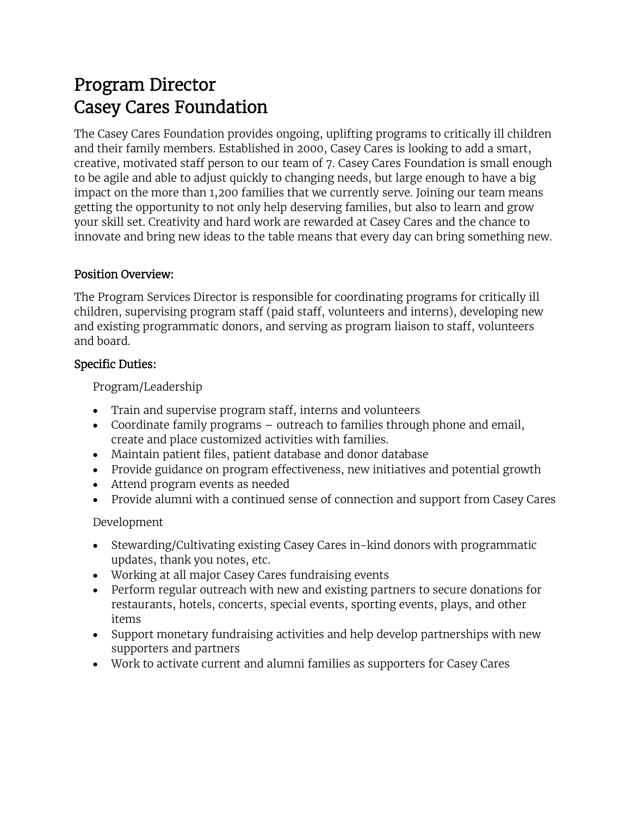# Program Director Casey Cares Foundation

The Casey Cares Foundation provides ongoing, uplifting programs to critically ill children and their family members. Established in 2000, Casey Cares is looking to add a smart, creative, motivated staff person to our team of 7. Casey Cares Foundation is small enough to be agile and able to adjust quickly to changing needs, but large enough to have a big impact on the more than 1,200 families that we currently serve. Joining our team means getting the opportunity to not only help deserving families, but also to learn and grow your skill set. Creativity and hard work are rewarded at Casey Cares and the chance to innovate and bring new ideas to the table means that every day can bring something new.

### Position Overview:

The Program Services Director is responsible for coordinating programs for critically ill children, supervising program staff (paid staff, volunteers and interns), developing new and existing programmatic donors, and serving as program liaison to staff, volunteers and board.

### Specific Duties:

Program/Leadership

- Train and supervise program staff, interns and volunteers
- Coordinate family programs outreach to families through phone and email, create and place customized activities with families.
- Maintain patient files, patient database and donor database
- Provide guidance on program effectiveness, new initiatives and potential growth
- Attend program events as needed
- Provide alumni with a continued sense of connection and support from Casey Cares

# Development

- Stewarding/Cultivating existing Casey Cares in-kind donors with programmatic updates, thank you notes, etc.
- Working at all major Casey Cares fundraising events
- Perform regular outreach with new and existing partners to secure donations for restaurants, hotels, concerts, special events, sporting events, plays, and other items
- Support monetary fundraising activities and help develop partnerships with new supporters and partners
- Work to activate current and alumni families as supporters for Casey Cares